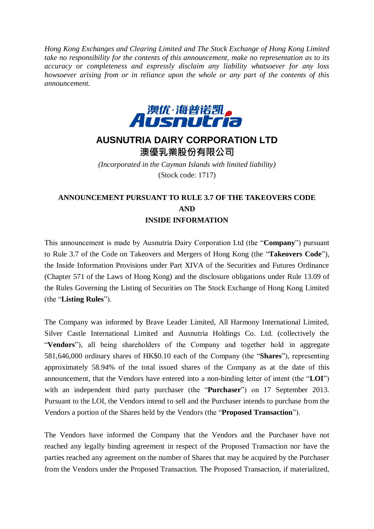*Hong Kong Exchanges and Clearing Limited and The Stock Exchange of Hong Kong Limited take no responsibility for the contents of this announcement, make no representation as to its accuracy or completeness and expressly disclaim any liability whatsoever for any loss howsoever arising from or in reliance upon the whole or any part of the contents of this announcement.*



# **AUSNUTRIA DAIRY CORPORATION LTD**

澳優乳業股份有限公司

*(Incorporated in the Cayman Islands with limited liability)* (Stock code: 1717)

# **ANNOUNCEMENT PURSUANT TO RULE 3.7 OF THE TAKEOVERS CODE AND INSIDE INFORMATION**

This announcement is made by Ausnutria Dairy Corporation Ltd (the "**Company**") pursuant to Rule 3.7 of the Code on Takeovers and Mergers of Hong Kong (the "**Takeovers Code**"), the Inside Information Provisions under Part XIVA of the Securities and Futures Ordinance (Chapter 571 of the Laws of Hong Kong) and the disclosure obligations under Rule 13.09 of the Rules Governing the Listing of Securities on The Stock Exchange of Hong Kong Limited (the "**Listing Rules**").

The Company was informed by Brave Leader Limited, All Harmony International Limited, Silver Castle International Limited and Ausnutria Holdings Co. Ltd. (collectively the "**Vendors**"), all being shareholders of the Company and together hold in aggregate 581,646,000 ordinary shares of HK\$0.10 each of the Company (the "**Shares**"), representing approximately 58.94% of the total issued shares of the Company as at the date of this announcement, that the Vendors have entered into a non-binding letter of intent (the "**LOI**") with an independent third party purchaser (the "**Purchaser**") on 17 September 2013. Pursuant to the LOI, the Vendors intend to sell and the Purchaser intends to purchase from the Vendors a portion of the Shares held by the Vendors (the "**Proposed Transaction**").

The Vendors have informed the Company that the Vendors and the Purchaser have not reached any legally binding agreement in respect of the Proposed Transaction nor have the parties reached any agreement on the number of Shares that may be acquired by the Purchaser from the Vendors under the Proposed Transaction. The Proposed Transaction, if materialized,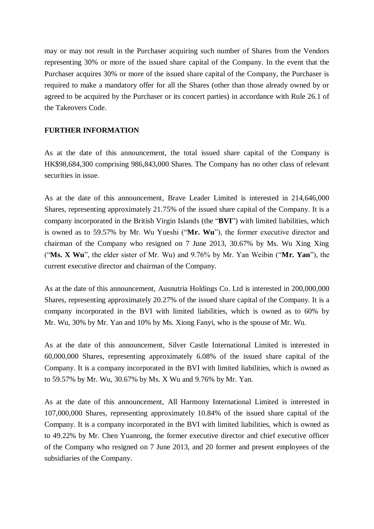may or may not result in the Purchaser acquiring such number of Shares from the Vendors representing 30% or more of the issued share capital of the Company. In the event that the Purchaser acquires 30% or more of the issued share capital of the Company, the Purchaser is required to make a mandatory offer for all the Shares (other than those already owned by or agreed to be acquired by the Purchaser or its concert parties) in accordance with Rule 26.1 of the Takeovers Code.

## **FURTHER INFORMATION**

As at the date of this announcement, the total issued share capital of the Company is HK\$98,684,300 comprising 986,843,000 Shares. The Company has no other class of relevant securities in issue.

As at the date of this announcement, Brave Leader Limited is interested in 214,646,000 Shares, representing approximately 21.75% of the issued share capital of the Company. It is a company incorporated in the British Virgin Islands (the "**BVI**") with limited liabilities, which is owned as to 59.57% by Mr. Wu Yueshi ("**Mr. Wu**"), the former executive director and chairman of the Company who resigned on 7 June 2013, 30.67% by Ms. Wu Xing Xing ("**Ms. X Wu**", the elder sister of Mr. Wu) and 9.76% by Mr. Yan Weibin ("**Mr. Yan**"), the current executive director and chairman of the Company.

As at the date of this announcement, Ausnutria Holdings Co. Ltd is interested in 200,000,000 Shares, representing approximately 20.27% of the issued share capital of the Company. It is a company incorporated in the BVI with limited liabilities, which is owned as to 60% by Mr. Wu, 30% by Mr. Yan and 10% by Ms. Xiong Fanyi, who is the spouse of Mr. Wu.

As at the date of this announcement, Silver Castle International Limited is interested in 60,000,000 Shares, representing approximately 6.08% of the issued share capital of the Company. It is a company incorporated in the BVI with limited liabilities, which is owned as to 59.57% by Mr. Wu, 30.67% by Ms. X Wu and 9.76% by Mr. Yan.

As at the date of this announcement, All Harmony International Limited is interested in 107,000,000 Shares, representing approximately 10.84% of the issued share capital of the Company. It is a company incorporated in the BVI with limited liabilities, which is owned as to 49.22% by Mr. Chen Yuanrong, the former executive director and chief executive officer of the Company who resigned on 7 June 2013, and 20 former and present employees of the subsidiaries of the Company.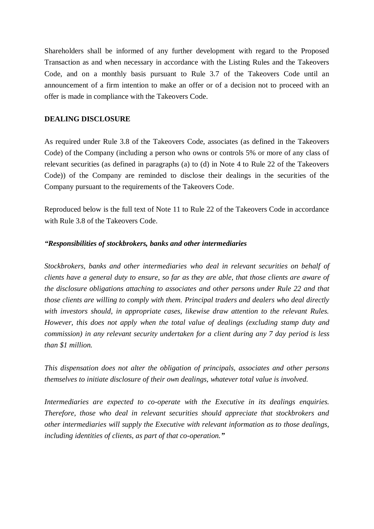Shareholders shall be informed of any further development with regard to the Proposed Transaction as and when necessary in accordance with the Listing Rules and the Takeovers Code, and on a monthly basis pursuant to Rule 3.7 of the Takeovers Code until an announcement of a firm intention to make an offer or of a decision not to proceed with an offer is made in compliance with the Takeovers Code.

#### **DEALING DISCLOSURE**

As required under Rule 3.8 of the Takeovers Code, associates (as defined in the Takeovers Code) of the Company (including a person who owns or controls 5% or more of any class of relevant securities (as defined in paragraphs (a) to (d) in Note 4 to Rule 22 of the Takeovers Code)) of the Company are reminded to disclose their dealings in the securities of the Company pursuant to the requirements of the Takeovers Code.

Reproduced below is the full text of Note 11 to Rule 22 of the Takeovers Code in accordance with Rule 3.8 of the Takeovers Code.

### *"Responsibilities of stockbrokers, banks and other intermediaries*

*Stockbrokers, banks and other intermediaries who deal in relevant securities on behalf of clients have a general duty to ensure, so far as they are able, that those clients are aware of the disclosure obligations attaching to associates and other persons under Rule 22 and that those clients are willing to comply with them. Principal traders and dealers who deal directly with investors should, in appropriate cases, likewise draw attention to the relevant Rules. However, this does not apply when the total value of dealings (excluding stamp duty and commission) in any relevant security undertaken for a client during any 7 day period is less than \$1 million.*

*This dispensation does not alter the obligation of principals, associates and other persons themselves to initiate disclosure of their own dealings, whatever total value is involved.*

*Intermediaries are expected to co-operate with the Executive in its dealings enquiries. Therefore, those who deal in relevant securities should appreciate that stockbrokers and other intermediaries will supply the Executive with relevant information as to those dealings, including identities of clients, as part of that co-operation."*